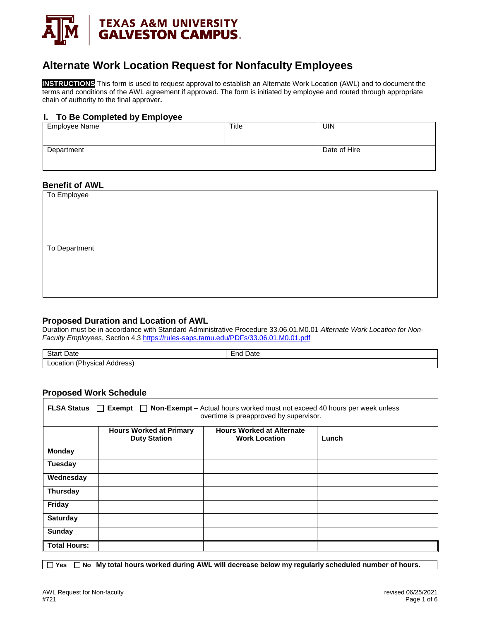

# **Alternate Work Location Request for Nonfaculty Employees**

**INSTRUCTIONS** This form is used to request approval to establish an Alternate Work Location (AWL) and to document the terms and conditions of the AWL agreement if approved. The form is initiated by employee and routed through appropriate chain of authority to the final approver**.**

### **I. To Be Completed by Employee**

| <b>Employee Name</b> | Title | <b>UIN</b>   |
|----------------------|-------|--------------|
|                      |       |              |
| Department           |       | Date of Hire |
|                      |       |              |
|                      |       |              |

## **Benefit of AWL**

| To Employee   |  |
|---------------|--|
|               |  |
|               |  |
|               |  |
|               |  |
| To Department |  |
|               |  |
|               |  |
|               |  |
|               |  |

### **Proposed Duration and Location of AWL**

Duration must be in accordance with Standard Administrative Procedure 33.06.01.M0.01 *Alternate Work Location for Non-Faculty Employees*, Section 4.3 <https://rules-saps.tamu.edu/PDFs/33.06.01.M0.01.pdf>

| $\sim$<br>ا Date<br>512           | -nd<br>Date |
|-----------------------------------|-------------|
| (Physical<br>.ocatior<br>Address` |             |

#### **Proposed Work Schedule**

| <b>FLSA Status</b> $\Box$ <b>Exempt</b> $\Box$ <b>Non-Exempt</b> – Actual hours worked must not exceed 40 hours per week unless<br>overtime is preapproved by supervisor. |                                                       |                                                          |       |  |  |  |
|---------------------------------------------------------------------------------------------------------------------------------------------------------------------------|-------------------------------------------------------|----------------------------------------------------------|-------|--|--|--|
|                                                                                                                                                                           | <b>Hours Worked at Primary</b><br><b>Duty Station</b> | <b>Hours Worked at Alternate</b><br><b>Work Location</b> | Lunch |  |  |  |
| <b>Monday</b>                                                                                                                                                             |                                                       |                                                          |       |  |  |  |
| <b>Tuesday</b>                                                                                                                                                            |                                                       |                                                          |       |  |  |  |
| Wednesday                                                                                                                                                                 |                                                       |                                                          |       |  |  |  |
| <b>Thursday</b>                                                                                                                                                           |                                                       |                                                          |       |  |  |  |
| Friday                                                                                                                                                                    |                                                       |                                                          |       |  |  |  |
| <b>Saturday</b>                                                                                                                                                           |                                                       |                                                          |       |  |  |  |
| Sunday                                                                                                                                                                    |                                                       |                                                          |       |  |  |  |
| <b>Total Hours:</b>                                                                                                                                                       |                                                       |                                                          |       |  |  |  |

**Yes No My total hours worked during AWL will decrease below my regularly scheduled number of hours.**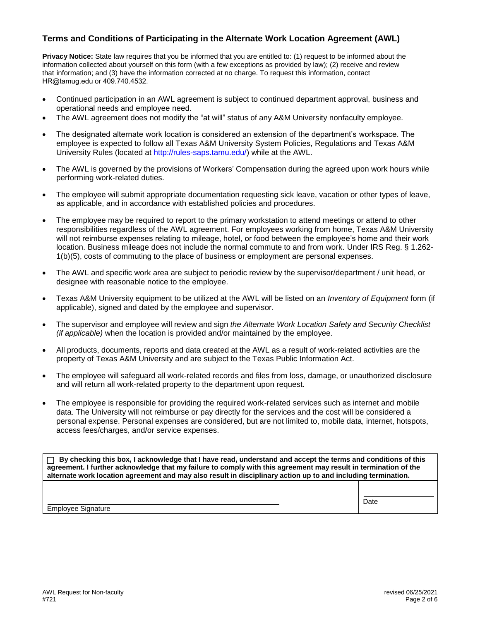## **Terms and Conditions of Participating in the Alternate Work Location Agreement (AWL)**

**Privacy Notice:** State law requires that you be informed that you are entitled to: (1) request to be informed about the information collected about yourself on this form (with a few exceptions as provided by law); (2) receive and review that information; and (3) have the information corrected at no charge. To request this information, co[ntact](mailto:Employee-Relations@tamu.edu) [HR@tamug.edu](mailto:Employee-Relations@tamu.edu) or 409.740.4532.

- Continued participation in an AWL agreement is subject to continued department approval, business and operational needs and employee need.
- The AWL agreement does not modify the "at will" status of any A&M University nonfaculty employee.
- The designated alternate work location is considered an extension of the department's workspace. The employee is expected to follow all Texas A&M University System Policies, Regulations and Texas A&M University Rules (located at [http://rules-saps.tamu.edu/\)](http://rules-saps.tamu.edu/) while at the AWL.
- The AWL is governed by the provisions of Workers' Compensation during the agreed upon work hours while performing work-related duties.
- The employee will submit appropriate documentation requesting sick leave, vacation or other types of leave, as applicable, and in accordance with established policies and procedures.
- The employee may be required to report to the primary workstation to attend meetings or attend to other responsibilities regardless of the AWL agreement. For employees working from home, Texas A&M University will not reimburse expenses relating to mileage, hotel, or food between the employee's home and their work location. Business mileage does not include the normal commute to and from work. Under IRS Reg. § 1.262- 1(b)(5), costs of commuting to the place of business or employment are personal expenses.
- The AWL and specific work area are subject to periodic review by the supervisor/department / unit head, or designee with reasonable notice to the employee.
- Texas A&M University equipment to be utilized at the AWL will be listed on an *Inventory of Equipment* form (if applicable), signed and dated by the employee and supervisor.
- The supervisor and employee will review and sign *the Alternate Work Location Safety and Security Checklist (if applicable)* when the location is provided and/or maintained by the employee.
- All products, documents, reports and data created at the AWL as a result of work-related activities are the property of Texas A&M University and are subject to the Texas Public Information Act.
- The employee will safeguard all work-related records and files from loss, damage, or unauthorized disclosure and will return all work-related property to the department upon request.
- The employee is responsible for providing the required work-related services such as internet and mobile data. The University will not reimburse or pay directly for the services and the cost will be considered a personal expense. Personal expenses are considered, but are not limited to, mobile data, internet, hotspots, access fees/charges, and/or service expenses.

**By checking this box, I acknowledge that I have read, understand and accept the terms and conditions of this agreement. I further acknowledge that my failure to comply with this agreement may result in termination of the alternate work location agreement and may also result in disciplinary action up to and including termination.**

Employee Signature

Date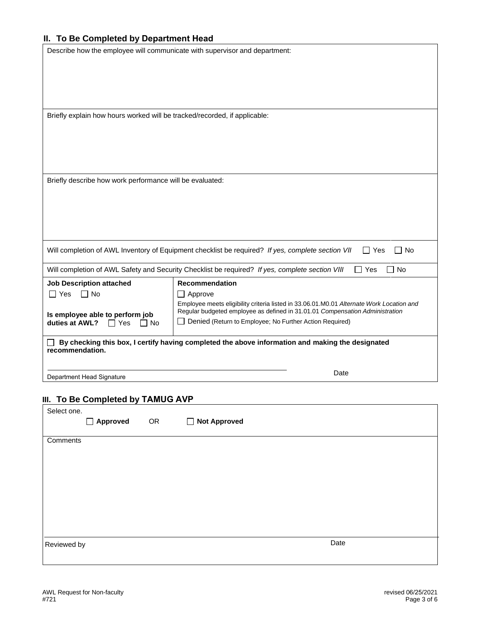## **II. To Be Completed by Department Head**

| To be completed by bepartment nead                                                                                  |                                                                                                                                  |  |  |  |
|---------------------------------------------------------------------------------------------------------------------|----------------------------------------------------------------------------------------------------------------------------------|--|--|--|
| Describe how the employee will communicate with supervisor and department:                                          |                                                                                                                                  |  |  |  |
|                                                                                                                     |                                                                                                                                  |  |  |  |
|                                                                                                                     |                                                                                                                                  |  |  |  |
|                                                                                                                     |                                                                                                                                  |  |  |  |
| Briefly explain how hours worked will be tracked/recorded, if applicable:                                           |                                                                                                                                  |  |  |  |
|                                                                                                                     |                                                                                                                                  |  |  |  |
|                                                                                                                     |                                                                                                                                  |  |  |  |
|                                                                                                                     |                                                                                                                                  |  |  |  |
| Briefly describe how work performance will be evaluated:                                                            |                                                                                                                                  |  |  |  |
|                                                                                                                     |                                                                                                                                  |  |  |  |
|                                                                                                                     |                                                                                                                                  |  |  |  |
|                                                                                                                     |                                                                                                                                  |  |  |  |
|                                                                                                                     | Will completion of AWL Inventory of Equipment checklist be required? If yes, complete section VII<br>Yes<br>No<br>$\blacksquare$ |  |  |  |
|                                                                                                                     | Will completion of AWL Safety and Security Checklist be required? If yes, complete section VIII<br>Yes<br>l No                   |  |  |  |
| <b>Job Description attached</b>                                                                                     | Recommendation                                                                                                                   |  |  |  |
| $\Box$ Yes<br>$\Box$ No                                                                                             | $\Box$ Approve<br>Employee meets eligibility criteria listed in 33.06.01.M0.01 Alternate Work Location and                       |  |  |  |
| Is employee able to perform job                                                                                     | Regular budgeted employee as defined in 31.01.01 Compensation Administration                                                     |  |  |  |
| duties at AWL?<br>$\Box$ Yes<br>$\Box$ No                                                                           | Denied (Return to Employee; No Further Action Required)                                                                          |  |  |  |
| By checking this box, I certify having completed the above information and making the designated<br>recommendation. |                                                                                                                                  |  |  |  |
|                                                                                                                     |                                                                                                                                  |  |  |  |
| Department Head Signature                                                                                           | Date                                                                                                                             |  |  |  |

# **III. To Be Completed by TAMUG AVP**

| Select one. |                 |    |                |
|-------------|-----------------|----|----------------|
|             | $\Box$ Approved | OR | □ Not Approved |
| Comments    |                 |    |                |
|             |                 |    |                |
|             |                 |    |                |
|             |                 |    |                |
|             |                 |    |                |
|             |                 |    |                |
|             |                 |    |                |
|             |                 |    |                |
| Reviewed by |                 |    | Date           |
|             |                 |    |                |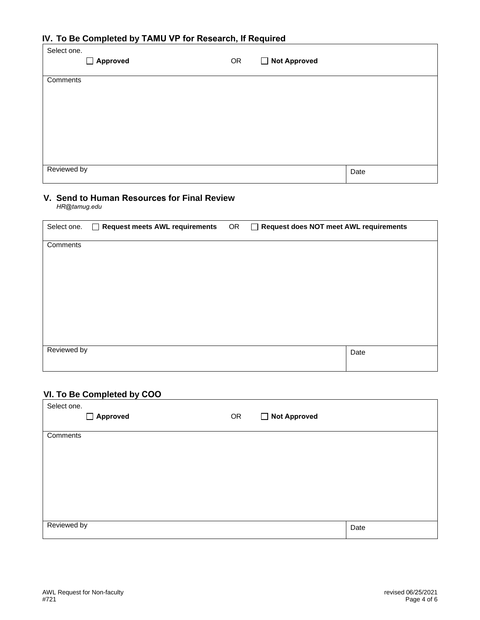## **IV. To Be Completed by TAMU VP for Research, If Required**

| Select one.<br>$\Box$ Approved | OR | □ Not Approved |      |
|--------------------------------|----|----------------|------|
| Comments                       |    |                |      |
|                                |    |                |      |
|                                |    |                |      |
|                                |    |                |      |
| Reviewed by                    |    |                | Date |

## **V. Send to Human Resources for Final Review**

*[HR@tamug.edu](mailto:Employee-Relations@tamu.edu)*

| <b>Request meets AWL requirements</b><br>$\Box$ | OR          | Request does NOT meet AWL requirements |      |
|-------------------------------------------------|-------------|----------------------------------------|------|
|                                                 |             |                                        |      |
|                                                 |             |                                        |      |
|                                                 |             |                                        |      |
|                                                 |             |                                        |      |
|                                                 |             |                                        |      |
|                                                 |             |                                        | Date |
|                                                 | Reviewed by |                                        |      |

# **VI. To Be Completed by COO**

| Select one.<br>$\Box$ Approved | OR | □ Not Approved |      |
|--------------------------------|----|----------------|------|
| Comments                       |    |                |      |
|                                |    |                |      |
|                                |    |                |      |
|                                |    |                |      |
|                                |    |                |      |
| Reviewed by                    |    |                | Date |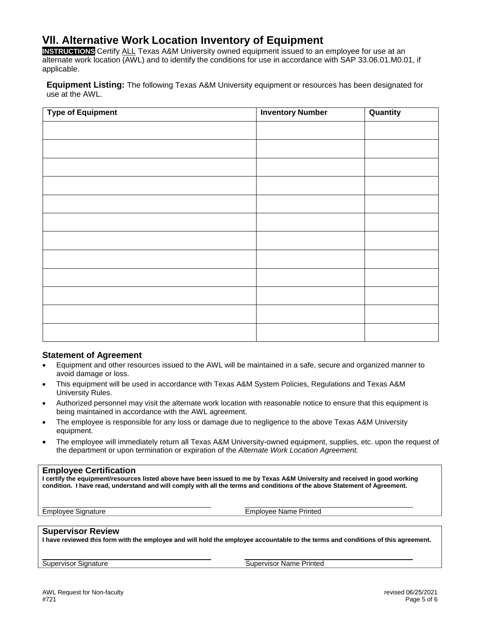# **VII. Alternative Work Location Inventory of Equipment**

**INSTRUCTIONS** Certify ALL Texas A&M University owned equipment issued to an employee for use at an alternate work location (AWL) and to identify the conditions for use in accordance with SAP 33.06.01.M0.01, if applicable.

**Equipment Listing:** The following Texas A&M University equipment or resources has been designated for use at the AWL.

| <b>Type of Equipment</b> | <b>Inventory Number</b> | Quantity |
|--------------------------|-------------------------|----------|
|                          |                         |          |
|                          |                         |          |
|                          |                         |          |
|                          |                         |          |
|                          |                         |          |
|                          |                         |          |
|                          |                         |          |
|                          |                         |          |
|                          |                         |          |
|                          |                         |          |
|                          |                         |          |
|                          |                         |          |

### **Statement of Agreement**

- Equipment and other resources issued to the AWL will be maintained in a safe, secure and organized manner to avoid damage or loss.
- This equipment will be used in accordance with Texas A&M System Policies, Regulations and Texas A&M University Rules.
- Authorized personnel may visit the alternate work location with reasonable notice to ensure that this equipment is being maintained in accordance with the AWL agreement.
- The employee is responsible for any loss or damage due to negligence to the above Texas A&M University equipment.
- The employee will immediately return all Texas A&M University-owned equipment, supplies, etc. upon the request of the department or upon termination or expiration of the *Alternate Work Location Agreement.*

### **Employee Certification**

**I certify the equipment/resources listed above have been issued to me by Texas A&M University and received in good working** condition. I have read, understand and will comply with all the terms and conditions of the above Statement of Agreement.

Employee Signature **Employee Name Printed** 

#### **Supervisor Review**

I have reviewed this form with the employee and will hold the employee accountable to the terms and conditions of this agreement.

Supervisor Signature Supervisor Name Printed